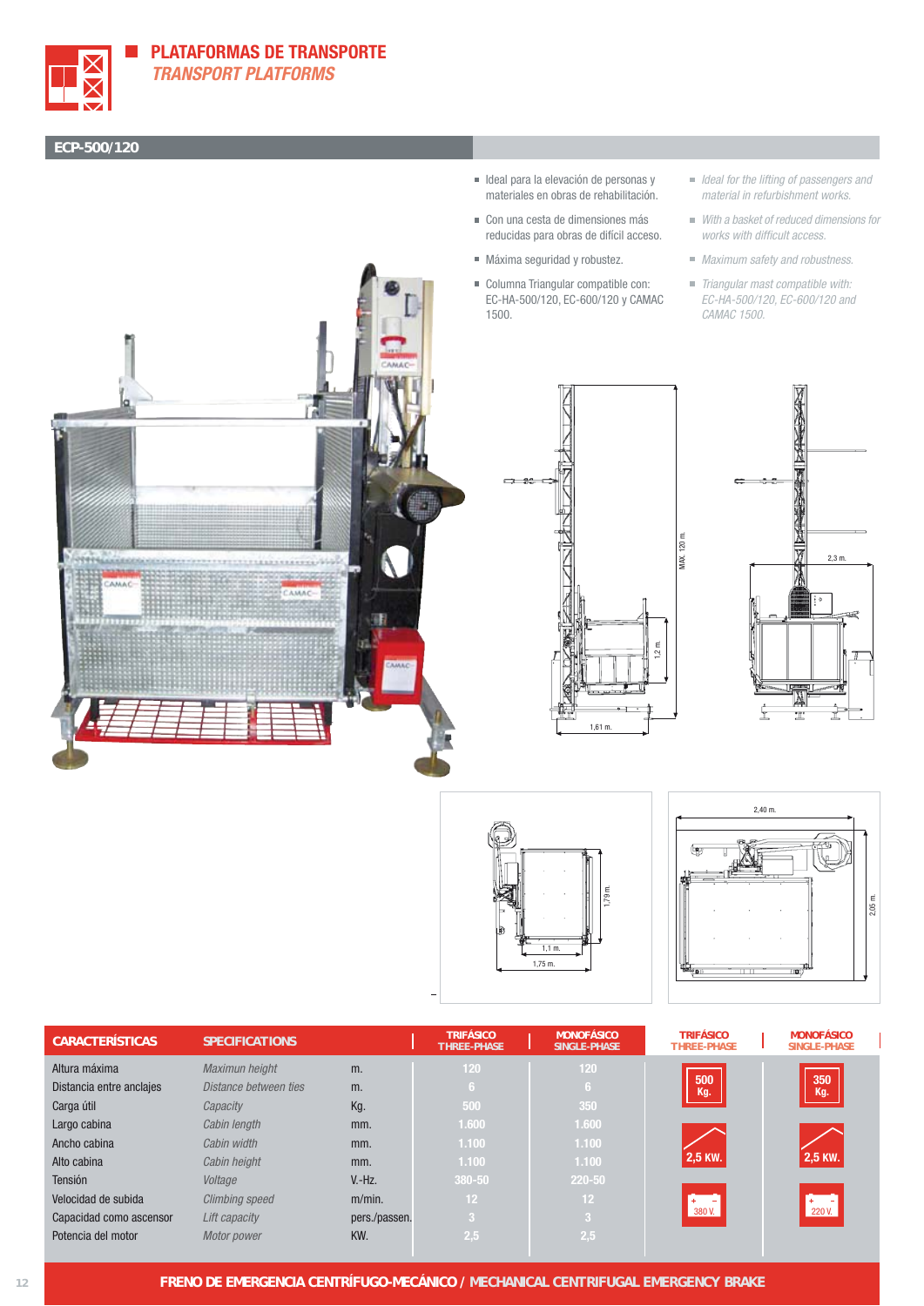

## **ECP-500/120**

- Ideal para la elevación de personas y materiales en obras de rehabilitación.
- Con una cesta de dimensiones más reducidas para obras de difícil acceso.
- Máxima seguridad y robustez.
- Columna Triangular compatible con: EC-HA-500/120, EC-600/120 y CAMAC 1500.
- In Ideal for the lifting of passengers and material in refurbishment works.
- With a basket of reduced dimensions for works with difficult access.
- **Maximum safety and robustness.**
- Triangular mast compatible with: EC-HA-500/120, EC-600/120 and CAMAC 1500.











| <b>CARACTERÍSTICAS</b>   | <b>SPECIFICATIONS</b> |               | <b>TRIFÁSICO</b><br><b>THREE-PHASE</b> | <b>MONOFÁSICO</b><br><b>SINGLE-PHASE</b> | <b>TRIFÁSICO</b><br><b>THREE-PHASE</b> | <b>MONOFÁSICO</b><br>SINGLE-PHASE |
|--------------------------|-----------------------|---------------|----------------------------------------|------------------------------------------|----------------------------------------|-----------------------------------|
| Altura máxima            | Maximun height        | m.            | 120                                    | 120                                      |                                        |                                   |
| Distancia entre anclajes | Distance between ties | m.            | 6.                                     | -6                                       | 500<br>Kg.                             | 350<br>Kg.                        |
| Carga útil               | Capacity              | Kg.           | .500 <sup>1</sup>                      | 350                                      |                                        |                                   |
| Largo cabina             | Cabin length          | mm.           | 1.600                                  | 1.600                                    |                                        |                                   |
| Ancho cabina             | Cabin width           | mm.           | 1.100                                  | 1.100                                    |                                        |                                   |
| Alto cabina              | Cabin height          | mm.           | 1.100                                  | 1.100                                    | 2,5 KW.                                | 2,5 KW.                           |
| Tensión                  | Voltage               | $V.-Hz.$      | 380-50                                 | 220-50                                   |                                        |                                   |
| Velocidad de subida      | <b>Climbing speed</b> | $m/min$ .     | 12 <sup>2</sup>                        | 12                                       |                                        | $+$ -<br>220 V.                   |
| Capacidad como ascensor  | Lift capacity         | pers./passen. | -3                                     | -3                                       | 380 V.                                 |                                   |
| Potencia del motor       | Motor power           | KW.           | 2,5                                    | 2,5                                      |                                        |                                   |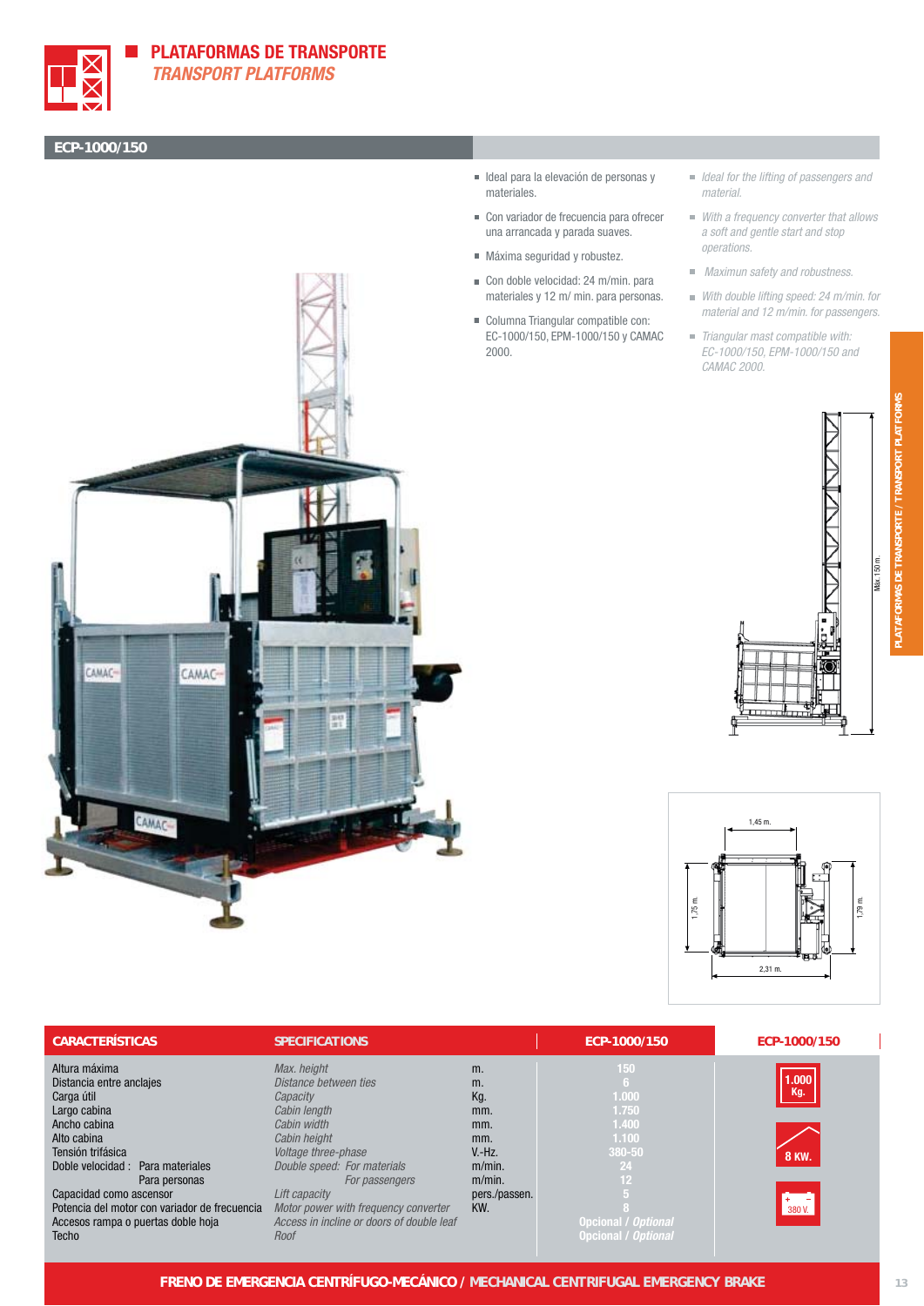

## **PLATAFORMAS DE TRANSPORTE TRANSPORT PLATFORMS**

## **ECP-1000/150**



- Ideal para la elevación de personas y materiales.
- Con variador de frecuencia para ofrecer una arrancada y parada suaves.
- Máxima seguridad y robustez.
- Con doble velocidad: 24 m/min. para materiales y 12 m/ min. para personas.
- Columna Triangular compatible con: EC-1000/150, EPM-1000/150 y CAMAC 2000.
- I Ideal for the lifting of passengers and material.
- With a frequency converter that allows a soft and gentle start and stop operations.
- **Maximun safety and robustness.**
- With double lifting speed: 24 m/min. for material and 12 m/min. for passengers.
- Triangular mast compatible with: EC-1000/150, EPM-1000/150 and CAMAC 2000.





| <b>CARACTERÍSTICAS</b>                        | <b>SPECIFICATIONS</b>                     |               | ECP-1000/150               | ECP-1000/150 |
|-----------------------------------------------|-------------------------------------------|---------------|----------------------------|--------------|
| Altura máxima                                 | Max. height                               | m.            | 150                        |              |
| Distancia entre anclajes                      | Distance between ties                     | m.            |                            | 000.1        |
| Carga útil                                    | Capacity                                  | Kg.           | 1.000                      | Kg.          |
| Largo cabina                                  | Cabin length                              | mm.           | 1.750                      |              |
| Ancho cabina                                  | Cabin width                               | mm.           | 1.400                      |              |
| Alto cabina                                   | Cabin height                              | mm.           | 1.100                      |              |
| Tensión trifásica                             | Voltage three-phase                       | $V.-Hz.$      | 380-50                     | <b>8 KW.</b> |
| Doble velocidad : Para materiales             | Double speed: For materials               | $m/min$ .     | 24                         |              |
| Para personas                                 | For passengers                            | $m/min$ .     | 12                         |              |
| Capacidad como ascensor                       | Lift capacity                             | pers./passen. |                            |              |
| Potencia del motor con variador de frecuencia | Motor power with frequency converter      | KW.           |                            | 380 V.       |
| Accesos rampa o puertas doble hoja            | Access in incline or doors of double leaf |               | Opcional / Optional        |              |
| <b>Techo</b>                                  | Roof                                      |               | <b>Opcional / Optional</b> |              |

**PLATAFORMAS DE TRANSPORTE /** *TRANSPORT PLATFORMS*

ORTE

**MAS DE TRANSP** 

**TRANSPORT** 

**PLATFORM**